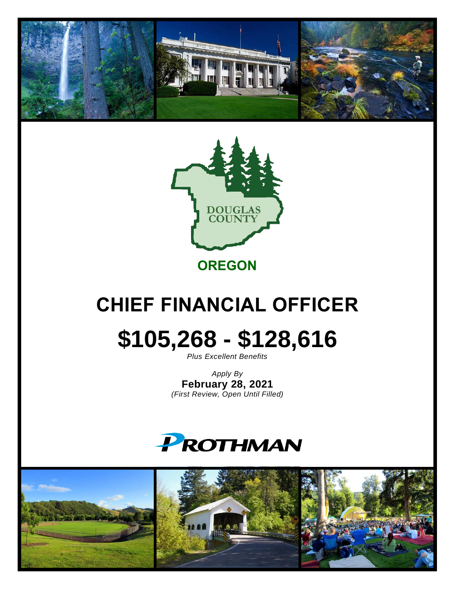



**OREGON**

## **CHIEF FINANCIAL OFFICER**

# **\$105,268 - \$128,616**

*Plus Excellent Benefits*

*Apply By* **February 28, 2021** *(First Review, Open Until Filled)*



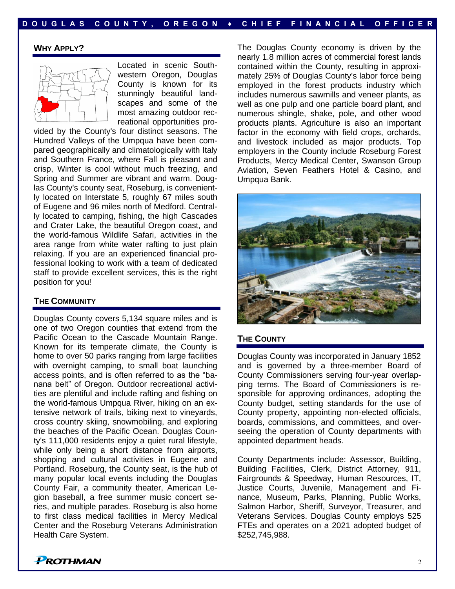#### **WHY APPLY?**



Located in scenic Southwestern Oregon, Douglas County is known for its stunningly beautiful landscapes and some of the most amazing outdoor recreational opportunities pro-

vided by the County's four distinct seasons. The Hundred Valleys of the Umpqua have been compared geographically and climatologically with Italy and Southern France, where Fall is pleasant and crisp, Winter is cool without much freezing, and Spring and Summer are vibrant and warm. Douglas County's county seat, Roseburg, is conveniently located on Interstate 5, roughly 67 miles south of Eugene and 96 miles north of Medford. Centrally located to camping, fishing, the high Cascades and Crater Lake, the beautiful Oregon coast, and the world-famous Wildlife Safari, activities in the area range from white water rafting to just plain relaxing. If you are an experienced financial professional looking to work with a team of dedicated staff to provide excellent services, this is the right position for you!

#### **THE COMMUNITY**

Douglas County covers 5,134 square miles and is one of two Oregon counties that extend from the Pacific Ocean to the Cascade Mountain Range. Known for its temperate climate, the County is home to over 50 parks ranging from large facilities with overnight camping, to small boat launching access points, and is often referred to as the "banana belt" of Oregon. Outdoor recreational activities are plentiful and include rafting and fishing on the world-famous Umpqua River, hiking on an extensive network of trails, biking next to vineyards, cross country skiing, snowmobiling, and exploring the beaches of the Pacific Ocean. Douglas County's 111,000 residents enjoy a quiet rural lifestyle, while only being a short distance from airports, shopping and cultural activities in Eugene and Portland. Roseburg, the County seat, is the hub of many popular local events including the Douglas County Fair, a community theater, American Legion baseball, a free summer music concert series, and multiple parades. Roseburg is also home to first class medical facilities in Mercy Medical Center and the Roseburg Veterans Administration Health Care System.

The Douglas County economy is driven by the nearly 1.8 million acres of commercial forest lands contained within the County, resulting in approximately 25% of Douglas County's labor force being employed in the forest products industry which includes numerous sawmills and veneer plants, as well as one pulp and one particle board plant, and numerous shingle, shake, pole, and other wood products plants. Agriculture is also an important factor in the economy with field crops, orchards, and livestock included as major products. Top employers in the County include Roseburg Forest Products, Mercy Medical Center, Swanson Group Aviation, Seven Feathers Hotel & Casino, and Umpqua Bank.



#### **THE COUNTY**

Douglas County was incorporated in January 1852 and is governed by a three-member Board of County Commissioners serving four-year overlapping terms. The Board of Commissioners is responsible for approving ordinances, adopting the County budget, setting standards for the use of County property, appointing non-elected officials, boards, commissions, and committees, and overseeing the operation of County departments with appointed department heads.

County Departments include: Assessor, Building, Building Facilities, Clerk, District Attorney, 911, Fairgrounds & Speedway, Human Resources, IT, Justice Courts, Juvenile, Management and Finance, Museum, Parks, Planning, Public Works, Salmon Harbor, Sheriff, Surveyor, Treasurer, and Veterans Services. Douglas County employs 525 FTEs and operates on a 2021 adopted budget of \$252,745,988.

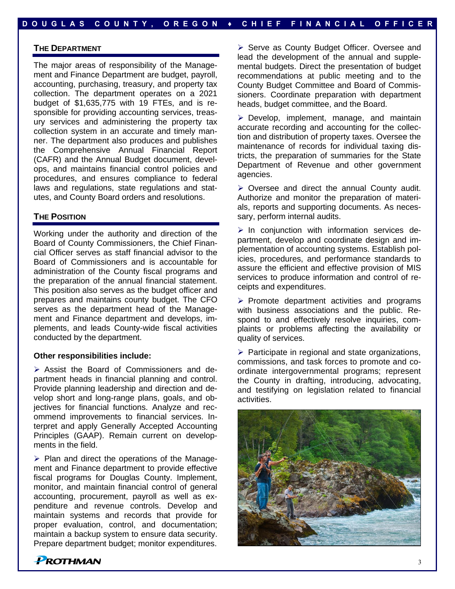#### **THE DEPARTMENT**

The major areas of responsibility of the Management and Finance Department are budget, payroll, accounting, purchasing, treasury, and property tax collection. The department operates on a 2021 budget of \$1,635,775 with 19 FTEs, and is responsible for providing accounting services, treasury services and administering the property tax collection system in an accurate and timely manner. The department also produces and publishes the Comprehensive Annual Financial Report (CAFR) and the Annual Budget document, develops, and maintains financial control policies and procedures, and ensures compliance to federal laws and regulations, state regulations and statutes, and County Board orders and resolutions.

#### **THE POSITION**

Working under the authority and direction of the Board of County Commissioners, the Chief Financial Officer serves as staff financial advisor to the Board of Commissioners and is accountable for administration of the County fiscal programs and the preparation of the annual financial statement. This position also serves as the budget officer and prepares and maintains county budget. The CFO serves as the department head of the Management and Finance department and develops, implements, and leads County-wide fiscal activities conducted by the department.

#### **Other responsibilities include:**

➢ Assist the Board of Commissioners and department heads in financial planning and control. Provide planning leadership and direction and develop short and long-range plans, goals, and objectives for financial functions. Analyze and recommend improvements to financial services. Interpret and apply Generally Accepted Accounting Principles (GAAP). Remain current on developments in the field.

➢ Plan and direct the operations of the Management and Finance department to provide effective fiscal programs for Douglas County. Implement, monitor, and maintain financial control of general accounting, procurement, payroll as well as expenditure and revenue controls. Develop and maintain systems and records that provide for proper evaluation, control, and documentation; maintain a backup system to ensure data security. Prepare department budget; monitor expenditures.

➢ Serve as County Budget Officer. Oversee and lead the development of the annual and supplemental budgets. Direct the presentation of budget recommendations at public meeting and to the County Budget Committee and Board of Commissioners. Coordinate preparation with department heads, budget committee, and the Board.

➢ Develop, implement, manage, and maintain accurate recording and accounting for the collection and distribution of property taxes. Oversee the maintenance of records for individual taxing districts, the preparation of summaries for the State Department of Revenue and other government agencies.

➢ Oversee and direct the annual County audit. Authorize and monitor the preparation of materials, reports and supporting documents. As necessary, perform internal audits.

➢ In conjunction with information services department, develop and coordinate design and implementation of accounting systems. Establish policies, procedures, and performance standards to assure the efficient and effective provision of MIS services to produce information and control of receipts and expenditures.

➢ Promote department activities and programs with business associations and the public. Respond to and effectively resolve inquiries, complaints or problems affecting the availability or quality of services.

 $\triangleright$  Participate in regional and state organizations, commissions, and task forces to promote and coordinate intergovernmental programs; represent the County in drafting, introducing, advocating, and testifying on legislation related to financial activities.